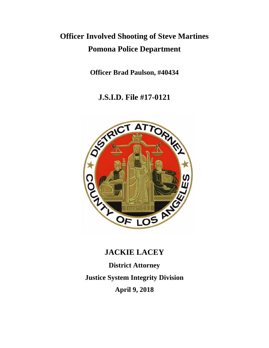# **Officer Involved Shooting of Steve Martines Pomona Police Department**

**Officer Brad Paulson, #40434**

**J.S.I.D. File #17-0121**



# **JACKIE LACEY**

**District Attorney Justice System Integrity Division April 9, 2018**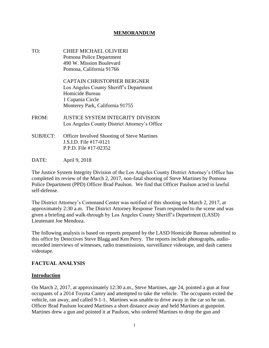#### **MEMORANDUM**

TO: CHIEF MICHAEL OLIVIERI Pomona Police Department 490 W. Mission Boulevard Pomona, California 91766

> CAPTAIN CHRISTOPHER BERGNER Los Angeles County Sheriff's Department Homicide Bureau 1 Cupania Circle Monterey Park, California 91755

- FROM: JUSTICE SYSTEM INTEGRITY DIVISION Los Angeles County District Attorney's Office
- SUBJECT: Officer Involved Shooting of Steve Martines J.S.I.D. File #17-0121 P.P.D. File #17-02352
- DATE: April 9, 2018

The Justice System Integrity Division of the Los Angeles County District Attorney's Office has completed its review of the March 2, 2017, non-fatal shooting of Steve Martines by Pomona Police Department (PPD) Officer Brad Paulson. We find that Officer Paulson acted in lawful self-defense.

The District Attorney's Command Center was notified of this shooting on March 2, 2017, at approximately 2:30 a.m. The District Attorney Response Team responded to the scene and was given a briefing and walk-through by Los Angeles County Sheriff's Department (LASD) Lieutenant Joe Mendoza.

The following analysis is based on reports prepared by the LASD Homicide Bureau submitted to this office by Detectives Steve Blagg and Ken Perry. The reports include photographs, audiorecorded interviews of witnesses, radio transmissions, surveillance videotape, and dash camera videotape.

#### **FACTUAL ANALYSIS**

#### **Introduction**

On March 2, 2017, at approximately 12:30 a.m., Steve Martines, age 24, pointed a gun at four occupants of a 2014 Toyota Camry and attempted to take the vehicle. The occupants exited the vehicle, ran away, and called 9-1-1. Martines was unable to drive away in the car so he ran. Officer Brad Paulson located Martines a short distance away and held Martines at gunpoint. Martines drew a gun and pointed it at Paulson, who ordered Martines to drop the gun and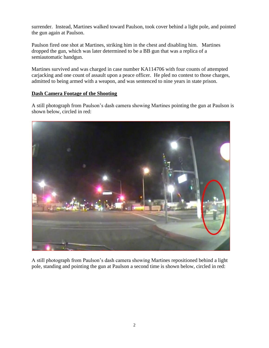surrender. Instead, Martines walked toward Paulson, took cover behind a light pole, and pointed the gun again at Paulson.

Paulson fired one shot at Martines, striking him in the chest and disabling him. Martines dropped the gun, which was later determined to be a BB gun that was a replica of a semiautomatic handgun.

Martines survived and was charged in case number KA114706 with four counts of attempted carjacking and one count of assault upon a peace officer. He pled no contest to those charges, admitted to being armed with a weapon, and was sentenced to nine years in state prison.

## **Dash Camera Footage of the Shooting**

A still photograph from Paulson's dash camera showing Martines pointing the gun at Paulson is shown below, circled in red:



A still photograph from Paulson's dash camera showing Martines repositioned behind a light pole, standing and pointing the gun at Paulson a second time is shown below, circled in red: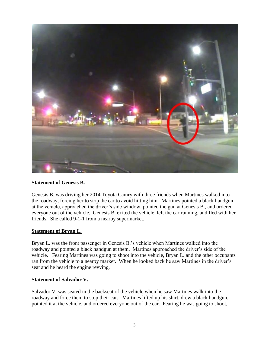

## **Statement of Genesis B.**

Genesis B. was driving her 2014 Toyota Camry with three friends when Martines walked into the roadway, forcing her to stop the car to avoid hitting him. Martines pointed a black handgun at the vehicle, approached the driver's side window, pointed the gun at Genesis B., and ordered everyone out of the vehicle. Genesis B. exited the vehicle, left the car running, and fled with her friends. She called 9-1-1 from a nearby supermarket.

#### **Statement of Bryan L.**

Bryan L. was the front passenger in Genesis B.'s vehicle when Martines walked into the roadway and pointed a black handgun at them. Martines approached the driver's side of the vehicle. Fearing Martines was going to shoot into the vehicle, Bryan L. and the other occupants ran from the vehicle to a nearby market. When he looked back he saw Martines in the driver's seat and he heard the engine revving.

#### **Statement of Salvador V.**

Salvador V. was seated in the backseat of the vehicle when he saw Martines walk into the roadway and force them to stop their car. Martines lifted up his shirt, drew a black handgun, pointed it at the vehicle, and ordered everyone out of the car. Fearing he was going to shoot,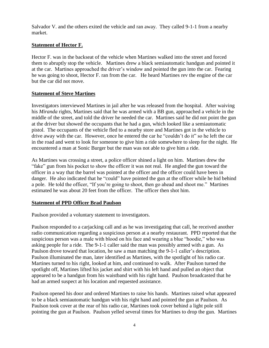Salvador V. and the others exited the vehicle and ran away. They called 9-1-1 from a nearby market.

# **Statement of Hector F.**

Hector F. was in the backseat of the vehicle when Martines walked into the street and forced them to abruptly stop the vehicle. Martines drew a black semiautomatic handgun and pointed it at the car. Martines approached the driver's window and pointed the gun into the car. Fearing he was going to shoot, Hector F. ran from the car. He heard Martines rev the engine of the car but the car did not move.

# **Statement of Steve Martines**

Investigators interviewed Martines in jail after he was released from the hospital. After waiving his *Miranda* rights, Martines said that he was armed with a BB gun, approached a vehicle in the middle of the street, and told the driver he needed the car. Martines said he did not point the gun at the driver but showed the occupants that he had a gun, which looked like a semiautomatic pistol. The occupants of the vehicle fled to a nearby store and Martines got in the vehicle to drive away with the car. However, once he entered the car he "couldn't do it" so he left the car in the road and went to look for someone to give him a ride somewhere to sleep for the night. He encountered a man at Sonic Burger but the man was not able to give him a ride.

As Martines was crossing a street, a police officer shined a light on him. Martines drew the "fake" gun from his pocket to show the officer it was not real. He angled the gun toward the officer in a way that the barrel was pointed at the officer and the officer could have been in danger. He also indicated that he "could" have pointed the gun at the officer while he hid behind a pole. He told the officer, "If you're going to shoot, then go ahead and shoot me." Martines estimated he was about 20 feet from the officer. The officer then shot him.

## **Statement of PPD Officer Brad Paulson**

Paulson provided a voluntary statement to investigators.

Paulson responded to a carjacking call and as he was investigating that call, he received another radio communication regarding a suspicious person at a nearby restaurant. PPD reported that the suspicious person was a male with blood on his face and wearing a blue "hoodie," who was asking people for a ride. The 9-1-1 caller said the man was possibly armed with a gun. As Paulson drove toward that location, he saw a man matching the 9-1-1 caller's description. Paulson illuminated the man, later identified as Martines, with the spotlight of his radio car. Martines turned to his right, looked at him, and continued to walk. After Paulson turned the spotlight off, Martines lifted his jacket and shirt with his left hand and pulled an object that appeared to be a handgun from his waistband with his right hand. Paulson broadcasted that he had an armed suspect at his location and requested assistance.

Paulson opened his door and ordered Martines to raise his hands. Martines raised what appeared to be a black semiautomatic handgun with his right hand and pointed the gun at Paulson. As Paulson took cover at the rear of his radio car, Martines took cover behind a light pole still pointing the gun at Paulson. Paulson yelled several times for Martines to drop the gun. Martines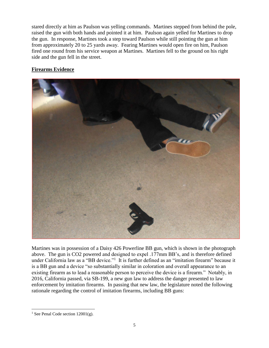stared directly at him as Paulson was yelling commands. Martines stepped from behind the pole, raised the gun with both hands and pointed it at him. Paulson again yelled for Martines to drop the gun. In response, Martines took a step toward Paulson while still pointing the gun at him from approximately 20 to 25 yards away. Fearing Martines would open fire on him, Paulson fired one round from his service weapon at Martines. Martines fell to the ground on his right side and the gun fell in the street.

# **Firearms Evidence**



Martines was in possession of a Daisy 426 Powerline BB gun, which is shown in the photograph above. The gun is CO2 powered and designed to expel .177mm BB's, and is therefore defined under California law as a "BB device."<sup>1</sup> It is further defined as an "imitation firearm" because it is a BB gun and a device "so substantially similar in coloration and overall appearance to an existing firearm as to lead a reasonable person to perceive the device is a firearm." Notably, in 2016, California passed, via SB-199, a new gun law to address the danger presented to law enforcement by imitation firearms. In passing that new law, the legislature noted the following rationale regarding the control of imitation firearms, including BB guns:

l

<sup>&</sup>lt;sup>1</sup> See Penal Code section  $12001(g)$ .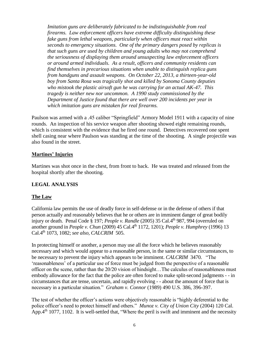*Imitation guns are deliberately fabricated to be indistinguishable from real firearms. Law enforcement officers have extreme difficulty distinguishing these fake guns from lethal weapons, particularly when officers must react within seconds to emergency situations. One of the primary dangers posed by replicas is that such guns are used by children and young adults who may not comprehend the seriousness of displaying them around unsuspecting law enforcement officers or around armed individuals. As a result, officers and community residents can find themselves in precarious situations when unable to distinguish replica guns from handguns and assault weapons. On October 22, 2013, a thirteen-year-old boy from Santa Rosa was tragically shot and killed by Sonoma County deputies who mistook the plastic airsoft gun he was carrying for an actual AK-47. This tragedy is neither new nor uncommon. A 1990 study commissioned by the Department of Justice found that there are well over 200 incidents per year in which imitation guns are mistaken for real firearms.*

Paulson was armed with a .45 caliber "Springfield" Armory Model 1911 with a capacity of nine rounds. An inspection of his service weapon after shooting showed eight remaining rounds, which is consistent with the evidence that he fired one round. Detectives recovered one spent shell casing near where Paulson was standing at the time of the shooting. A single projectile was also found in the street.

## **Martines' Injuries**

Martines was shot once in the chest, from front to back. He was treated and released from the hospital shortly after the shooting.

## **LEGAL ANALYSIS**

## **The Law**

California law permits the use of deadly force in self-defense or in the defense of others if that person actually and reasonably believes that he or others are in imminent danger of great bodily injury or death. Penal Code § 197; *People v. Randle* (2005) 35 Cal.4<sup>th</sup> 987, 994 (overruled on another ground in *People v. Chun* (2009) 45 Cal.4<sup>th</sup> 1172, 1201); *People v. Humphrey* (1996) 13 Cal.4th 1073, 1082; *see also, CALCRIM* 505.

In protecting himself or another, a person may use all the force which he believes reasonably necessary and which would appear to a reasonable person, in the same or similar circumstances, to be necessary to prevent the injury which appears to be imminent. *CALCRIM* 3470. "The 'reasonableness' of a particular use of force must be judged from the perspective of a reasonable officer on the scene, rather than the 20/20 vision of hindsight…The calculus of reasonableness must embody allowance for the fact that the police are often forced to make split-second judgments - - in circumstances that are tense, uncertain, and rapidly evolving - - about the amount of force that is necessary in a particular situation." *Graham v. Connor* (1989) 490 U.S. 386, 396-397.

The test of whether the officer's actions were objectively reasonable is "highly deferential to the police officer's need to protect himself and others." *Munoz v. City of Union City* (2004) 120 Cal. App. 4<sup>th</sup> 1077, 1102. It is well-settled that, "Where the peril is swift and imminent and the necessity